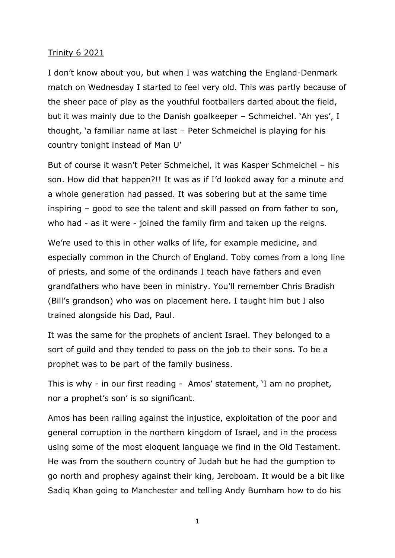## Trinity 6 2021

I don't know about you, but when I was watching the England-Denmark match on Wednesday I started to feel very old. This was partly because of the sheer pace of play as the youthful footballers darted about the field, but it was mainly due to the Danish goalkeeper – Schmeichel. 'Ah yes', I thought, 'a familiar name at last – Peter Schmeichel is playing for his country tonight instead of Man U'

But of course it wasn't Peter Schmeichel, it was Kasper Schmeichel – his son. How did that happen?!! It was as if I'd looked away for a minute and a whole generation had passed. It was sobering but at the same time inspiring – good to see the talent and skill passed on from father to son, who had - as it were - joined the family firm and taken up the reigns.

We're used to this in other walks of life, for example medicine, and especially common in the Church of England. Toby comes from a long line of priests, and some of the ordinands I teach have fathers and even grandfathers who have been in ministry. You'll remember Chris Bradish (Bill's grandson) who was on placement here. I taught him but I also trained alongside his Dad, Paul.

It was the same for the prophets of ancient Israel. They belonged to a sort of guild and they tended to pass on the job to their sons. To be a prophet was to be part of the family business.

This is why - in our first reading - Amos' statement, 'I am no prophet, nor a prophet's son' is so significant.

Amos has been railing against the injustice, exploitation of the poor and general corruption in the northern kingdom of Israel, and in the process using some of the most eloquent language we find in the Old Testament. He was from the southern country of Judah but he had the gumption to go north and prophesy against their king, Jeroboam. It would be a bit like Sadiq Khan going to Manchester and telling Andy Burnham how to do his

1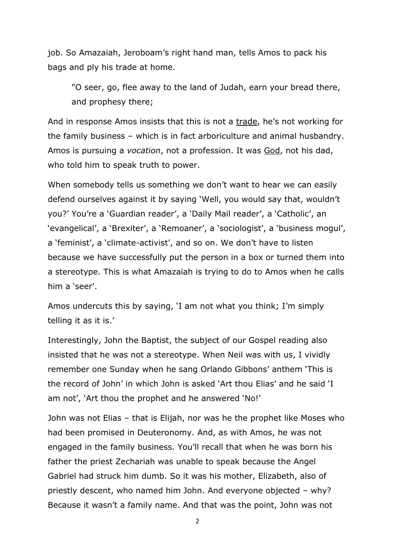job. So Amazaiah, Jeroboam's right hand man, tells Amos to pack his bags and ply his trade at home.

"O seer, go, flee away to the land of Judah, earn your bread there, and prophesy there;

And in response Amos insists that this is not a trade, he's not working for the family business – which is in fact arboriculture and animal husbandry. Amos is pursuing a *vocation*, not a profession. It was God, not his dad, who told him to speak truth to power.

When somebody tells us something we don't want to hear we can easily defend ourselves against it by saying 'Well, you would say that, wouldn't you?' You're a 'Guardian reader', a 'Daily Mail reader', a 'Catholic', an 'evangelical', a 'Brexiter', a 'Remoaner', a 'sociologist', a 'business mogul', a 'feminist', a 'climate-activist', and so on. We don't have to listen because we have successfully put the person in a box or turned them into a stereotype. This is what Amazaiah is trying to do to Amos when he calls him a 'seer'.

Amos undercuts this by saying, 'I am not what you think; I'm simply telling it as it is.'

Interestingly, John the Baptist, the subject of our Gospel reading also insisted that he was not a stereotype. When Neil was with us, I vividly remember one Sunday when he sang Orlando Gibbons' anthem 'This is the record of John' in which John is asked 'Art thou Elias' and he said 'I am not', 'Art thou the prophet and he answered 'No!'

John was not Elias – that is Elijah, nor was he the prophet like Moses who had been promised in Deuteronomy. And, as with Amos, he was not engaged in the family business. You'll recall that when he was born his father the priest Zechariah was unable to speak because the Angel Gabriel had struck him dumb. So it was his mother, Elizabeth, also of priestly descent, who named him John. And everyone objected – why? Because it wasn't a family name. And that was the point, John was not

2